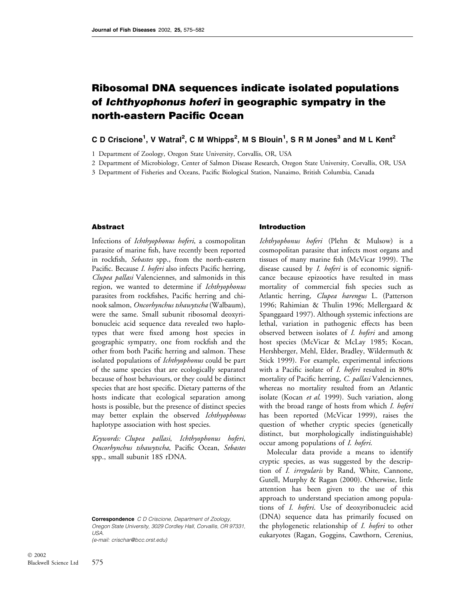# Ribosomal DNA sequences indicate isolated populations of Ichthyophonus hoferi in geographic sympatry in the north-eastern Pacific Ocean

# C D Criscione<sup>1</sup>, V Watral<sup>2</sup>, C M Whipps<sup>2</sup>, M S Blouin<sup>1</sup>, S R M Jones<sup>3</sup> and M L Kent<sup>2</sup>

1 Department of Zoology, Oregon State University, Corvallis, OR, USA

2 Department of Microbiology, Center of Salmon Disease Research, Oregon State University, Corvallis, OR, USA

3 Department of Fisheries and Oceans, Pacific Biological Station, Nanaimo, British Columbia, Canada

### Abstract

Infections of Ichthyophonus hoferi, a cosmopolitan parasite of marine fish, have recently been reported in rockfish, Sebastes spp., from the north-eastern Pacific. Because I. hoferi also infects Pacific herring, Clupea pallasi Valenciennes, and salmonids in this region, we wanted to determine if Ichthyophonus parasites from rockfishes, Pacific herring and chinook salmon, Oncorhynchus tshawytscha (Walbaum), were the same. Small subunit ribosomal deoxyribonucleic acid sequence data revealed two haplotypes that were fixed among host species in geographic sympatry, one from rockfish and the other from both Pacific herring and salmon. These isolated populations of *Ichthyophonus* could be part of the same species that are ecologically separated because of host behaviours, or they could be distinct species that are host specific. Dietary patterns of the hosts indicate that ecological separation among hosts is possible, but the presence of distinct species may better explain the observed Ichthyophonus haplotype association with host species.

Keywords: Clupea pallasi, Ichthyophonus hoferi, Oncorhynchus tshawytscha, Pacific Ocean, Sebastes spp., small subunit 18S rDNA.

Correspondence C D Criscione, Department of Zoology, Oregon State University, 3029 Cordley Hall, Corvallis, OR 97331, USA.

(e-mail: crischar@bcc.orst.edu)

#### Introduction

Ichthyophonus hoferi (Plehn & Mulsow) is a cosmopolitan parasite that infects most organs and tissues of many marine fish (McVicar 1999). The disease caused by *I. hoferi* is of economic significance because epizootics have resulted in mass mortality of commercial fish species such as Atlantic herring, Clupea harengus L. (Patterson 1996; Rahimian & Thulin 1996; Mellergaard & Spanggaard 1997). Although systemic infections are lethal, variation in pathogenic effects has been observed between isolates of *I. hoferi* and among host species (McVicar & McLay 1985; Kocan, Hershberger, Mehl, Elder, Bradley, Wildermuth & Stick 1999). For example, experimental infections with a Pacific isolate of *I. hoferi* resulted in 80% mortality of Pacific herring, C. pallasi Valenciennes, whereas no mortality resulted from an Atlantic isolate (Kocan et al. 1999). Such variation, along with the broad range of hosts from which *I. hoferi* has been reported (McVicar 1999), raises the question of whether cryptic species (genetically distinct, but morphologically indistinguishable) occur among populations of I. hoferi.

Molecular data provide a means to identify cryptic species, as was suggested by the description of I. irregularis by Rand, White, Cannone, Gutell, Murphy & Ragan (2000). Otherwise, little attention has been given to the use of this approach to understand speciation among populations of I. hoferi. Use of deoxyribonucleic acid (DNA) sequence data has primarily focused on the phylogenetic relationship of *I. hoferi* to other eukaryotes (Ragan, Goggins, Cawthorn, Cerenius,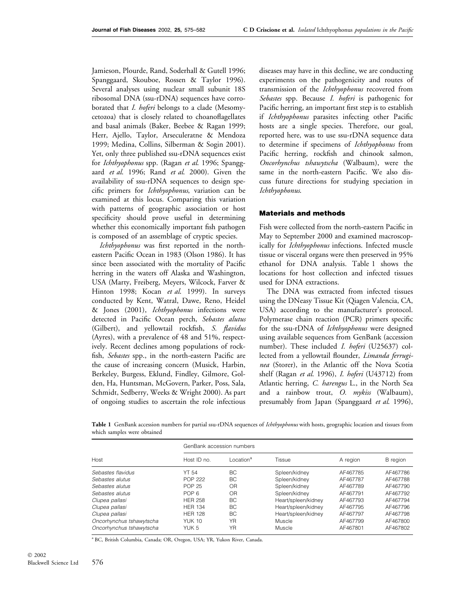Jamieson, Plourde, Rand, Soderhall & Gutell 1996; Spanggaard, Skouboe, Rossen & Taylor 1996). Several analyses using nuclear small subunit 18S ribosomal DNA (ssu-rDNA) sequences have corroborated that *I. hoferi* belongs to a clade (Mesomycetozoa) that is closely related to choanoflagellates and basal animals (Baker, Beebee & Ragan 1999; Herr, Ajello, Taylor, Arseculeratne & Mendoza 1999; Medina, Collins, Silberman & Sogin 2001). Yet, only three published ssu-rDNA sequences exist for Ichthyophonus spp. (Ragan et al. 1996; Spanggaard et al. 1996; Rand et al. 2000). Given the availability of ssu-rDNA sequences to design specific primers for *Ichthyophonus*, variation can be examined at this locus. Comparing this variation with patterns of geographic association or host specificity should prove useful in determining whether this economically important fish pathogen is composed of an assemblage of cryptic species.

Ichthyophonus was first reported in the northeastern Pacific Ocean in 1983 (Olson 1986). It has since been associated with the mortality of Pacific herring in the waters off Alaska and Washington, USA (Marty, Freiberg, Meyers, Wilcock, Farver & Hinton 1998; Kocan et al. 1999). In surveys conducted by Kent, Watral, Dawe, Reno, Heidel & Jones (2001), Ichthyophonus infections were detected in Pacific Ocean perch, Sebastes alutus (Gilbert), and yellowtail rockfish, S. flavidus (Ayres), with a prevalence of 48 and 51%, respectively. Recent declines among populations of rockfish, *Sebastes* spp., in the north-eastern Pacific are the cause of increasing concern (Musick, Harbin, Berkeley, Burgess, Eklund, Findley, Gilmore, Golden, Ha, Huntsman, McGovern, Parker, Poss, Sala, Schmidt, Sedberry, Weeks & Wright 2000). As part of ongoing studies to ascertain the role infectious

diseases may have in this decline, we are conducting experiments on the pathogenicity and routes of transmission of the Ichthyophonus recovered from Sebastes spp. Because I. hoferi is pathogenic for Pacific herring, an important first step is to establish if Ichthyophonus parasites infecting other Pacific hosts are a single species. Therefore, our goal, reported here, was to use ssu-rDNA sequence data to determine if specimens of Ichthyophonus from Pacific herring, rockfish and chinook salmon, Oncorhynchus tshawytscha (Walbaum), were the same in the north-eastern Pacific. We also discuss future directions for studying speciation in Ichthyophonus.

#### Materials and methods

Fish were collected from the north-eastern Pacific in May to September 2000 and examined macroscopically for *Ichthyophonus* infections. Infected muscle tissue or visceral organs were then preserved in 95% ethanol for DNA analysis. Table 1 shows the locations for host collection and infected tissues used for DNA extractions.

The DNA was extracted from infected tissues using the DNeasy Tissue Kit (Qiagen Valencia, CA, USA) according to the manufacturer's protocol. Polymerase chain reaction (PCR) primers specific for the ssu-rDNA of Ichthyophonus were designed using available sequences from GenBank (accession number). These included *I. hoferi* (U25637) collected from a yellowtail flounder, *Limanda ferrugi*nea (Storer), in the Atlantic off the Nova Scotia shelf (Ragan et al. 1996), I. hoferi (U43712) from Atlantic herring, C. harengus L., in the North Sea and a rainbow trout,  $O.$  mykiss (Walbaum), presumably from Japan (Spanggaard et al. 1996),

Table 1 GenBank accession numbers for partial ssu-rDNA sequences of Ichthyophonus with hosts, geographic location and tissues from which samples were obtained

| Host                     | GenBank accession numbers |                      |                     |          |          |  |  |
|--------------------------|---------------------------|----------------------|---------------------|----------|----------|--|--|
|                          | Host ID no.               | ocation <sup>a</sup> | Tissue              | A region | B region |  |  |
| Sebastes flavidus        | <b>YT 54</b>              | BC                   | Spleen/kidney       | AF467785 | AF467786 |  |  |
| Sebastes alutus          | POP 222                   | BC                   | Spleen/kidney       | AF467787 | AF467788 |  |  |
| Sebastes alutus          | POP 25                    | OR                   | Spleen/kidney       | AF467789 | AF467790 |  |  |
| Sebastes alutus          | POP <sub>6</sub>          | OR                   | Spleen/kidney       | AF467791 | AF467792 |  |  |
| Clupea pallasi           | <b>HER 258</b>            | BC.                  | Heart/spleen/kidney | AF467793 | AF467794 |  |  |
| Clupea pallasi           | <b>HER 134</b>            | BC.                  | Heart/spleen/kidney | AF467795 | AF467796 |  |  |
| Clupea pallasi           | <b>HER 128</b>            | BC.                  | Heart/spleen/kidney | AF467797 | AF467798 |  |  |
| Oncorhynchus tshawytscha | <b>YUK 10</b>             | <b>YR</b>            | Muscle              | AF467799 | AF467800 |  |  |
| Oncorhynchus tshawytscha | YUK 5                     | YR                   | Muscle              | AF467801 | AF467802 |  |  |

<sup>a</sup> BC, British Columbia, Canada; OR, Oregon, USA; YR, Yukon River, Canada.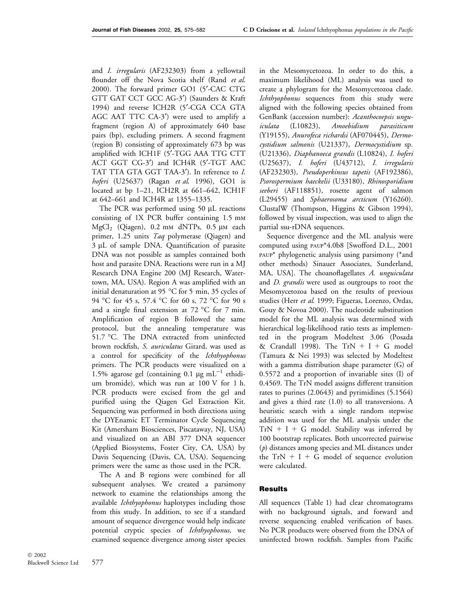and I. irregularis (AF232303) from a yellowtail flounder off the Nova Scotia shelf (Rand et al. 2000). The forward primer GO1 (5¢-CAC CTG GTT GAT CCT GCC AG-3') (Saunders & Kraft 1994) and reverse ICH2R (5¢-CGA CCA GTA AGC AAT TTC CA-3') were used to amplify a fragment (region A) of approximately 640 base pairs (bp), excluding primers. A second fragment (region B) consisting of approximately 673 bp was amplified with ICH1F (5¢-TGG AAA TTG CTT ACT GGT CG-3') and ICH4R (5'-TGT AAC TAT TTA GTA GGT TAA-3'). In reference to I. hoferi (U25637) (Ragan et al. 1996), GO1 is located at bp 1–21, ICH2R at 661–642, ICH1F at 642–661 and ICH4R at 1355–1335.

The PCR was performed using 50 µL reactions consisting of 1X PCR buffer containing 1.5 mm  $MgCl<sub>2</sub>$  (Qiagen), 0.2 mm dNTPs, 0.5 µm each primer, 1.25 units Taq polymerase (Qiagen) and 3 µL of sample DNA. Quantification of parasite DNA was not possible as samples contained both host and parasite DNA. Reactions were run in a MJ Research DNA Engine 200 (MJ Research, Watertown, MA, USA). Region A was amplified with an initial denaturation at 95  $\degree$ C for 5 min, 35 cycles of 94 °C for 45 s, 57.4 °C for 60 s, 72 °C for 90 s and a single final extension at  $72 °C$  for 7 min. Amplification of region B followed the same protocol, but the annealing temperature was 51.7 °C. The DNA extracted from uninfected brown rockfish, S. auriculatus Girard, was used as a control for specificity of the *Ichthyophonus* primers. The PCR products were visualized on a 1.5% agarose gel (containing 0.1  $\mu$ g mL<sup>-1</sup> ethidium bromide), which was run at 100 V for 1 h. PCR products were excised from the gel and purified using the Qiagen Gel Extraction Kit. Sequencing was performed in both directions using the DYEnamic ET Terminator Cycle Sequencing Kit (Amersham Biosciences, Piscataway, NJ, USA) and visualized on an ABI 377 DNA sequencer (Applied Biosystems, Foster City, CA, USA) by Davis Sequencing (Davis, CA, USA). Sequencing primers were the same as those used in the PCR.

The A and B regions were combined for all subsequent analyses. We created a parsimony network to examine the relationships among the available *Ichthyophonus* haplotypes including those from this study. In addition, to see if a standard amount of sequence divergence would help indicate potential cryptic species of Ichthyophonus, we examined sequence divergence among sister species in the Mesomycetozoa. In order to do this, a maximum likelihood (ML) analysis was used to create a phylogram for the Mesomycetozoa clade. Ichthyophonus sequences from this study were aligned with the following species obtained from GenBank (accession number): Acanthocoepsis unguiculata (L10823), Amoebidium parasiticum (Y19155), Anurofeca richardsi (AF070445), Dermocystidium salmonis (U21337), Dermocystidium sp. (U21336), Diaphanoeca grandis (L10824), I. hoferi (U25637), I. hoferi (U43712), I. irregularis (AF232303), Pseudoperkinsus tapetis (AF192386), Psorospermium haeckelii (U33180), Rhinosporidium seeberi (AF118851), rosette agent of salmon (L29455) and Sphaerosoma arcticum (Y16260). ClustalW (Thompson, Higgins & Gibson 1994), followed by visual inspection, was used to align the partial ssu-rDNA sequences.

Sequence divergence and the ML analysis were computed using paup\*4.0b8 [Swofford D.L., 2001 paup\* phylogenetic analysis using parsimony (\*and other methods) Sinauer Associates, Sunderland, MA, USA]. The choanoflagellates A. unguiculata and *D. grandis* were used as outgroups to root the Mesomycetozoa based on the results of previous studies (Herr et al. 1999; Figueras, Lorenzo, Ordas, Gouy & Novoa 2000). The nucleotide substitution model for the ML analysis was determined with hierarchical log-likelihood ratio tests as implemented in the program Modeltest 3.06 (Posada & Crandall 1998). The  $TrN + I + G$  model (Tamura & Nei 1993) was selected by Modeltest with a gamma distribution shape parameter (G) of 0.5572 and a proportion of invariable sites (I) of 0.4569. The TrN model assigns different transition rates to purines (2.0643) and pyrimidines (5.1564) and gives a third rate (1.0) to all transversions. A heuristic search with a single random stepwise addition was used for the ML analysis under the  $TrN + I + G$  model. Stability was inferred by 100 bootstrap replicates. Both uncorrected pairwise (p) distances among species and ML distances under the  $TrN + I + G$  model of sequence evolution were calculated.

## Results

All sequences (Table 1) had clear chromatograms with no background signals, and forward and reverse sequencing enabled verification of bases. No PCR products were observed from the DNA of uninfected brown rockfish. Samples from Pacific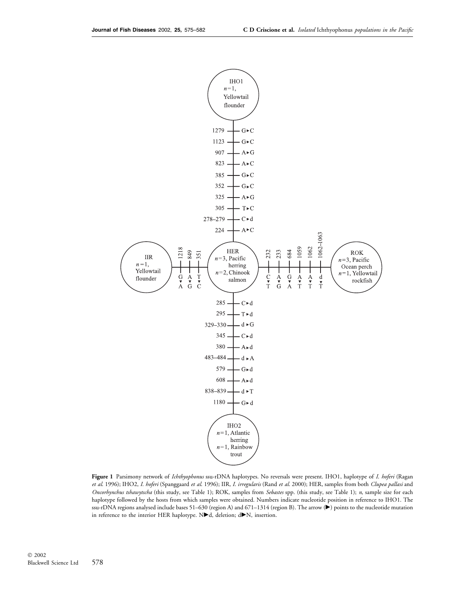

Figure 1 Parsimony network of Ichthyophonus ssu-rDNA haplotypes. No reversals were present. IHO1, haplotype of I. hoferi (Ragan et al. 1996); IHO2, I. hoferi (Spanggaard et al. 1996); IIR, I. irregularis (Rand et al. 2000); HER, samples from both Clupea pallasi and Oncorhynchus tshawytscha (this study, see Table 1); ROK, samples from Sebastes spp. (this study, see Table 1); n, sample size for each haplotype followed by the hosts from which samples were obtained. Numbers indicate nucleotide position in reference to IHO1. The ssu-rDNA regions analysed include bases 51–630 (region A) and 671–1314 (region B). The arrow (>) points to the nucleotide mutation in reference to the interior HER haplotype.  $N\blacktriangleright$ d, deletion; d $\blacktriangleright$ N, insertion.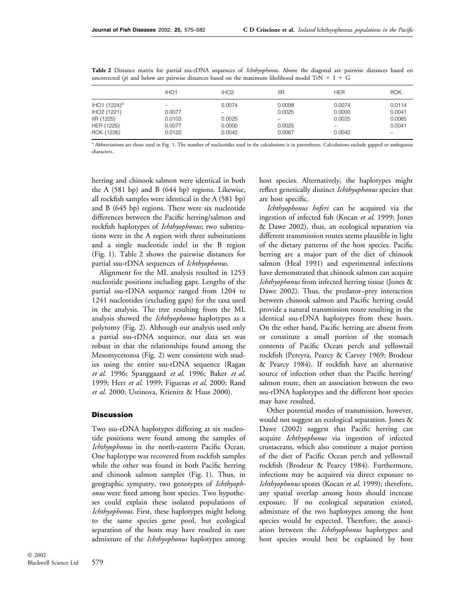|                          | IHO <sub>1</sub> | IHO <sub>2</sub> | <b>IIR</b> | <b>HFR</b> | <b>ROK</b> |
|--------------------------|------------------|------------------|------------|------------|------------|
| IHO1 (1224) <sup>a</sup> |                  | 0.0074           | 0.0098     | 0.0074     | 0.0114     |
| IHO <sub>2</sub> (1221)  | 0.0077           |                  | 0.0025     | 0.0000     | 0.0041     |
| IIR (1225)               | 0.0103           | 0.0025           |            | 0.0025     | 0.0065     |
| HER (1225)               | 0.0077           | 0.0000           | 0.0025     |            | 0.0041     |
| ROK (1226)               | 0.0122           | 0.0042           | 0.0067     | 0.0042     |            |

Table 2 Distance matrix for partial ssu-rDNA sequences of *Ichthyophonus*. Above the diagonal are pairwise distances based on uncorrected (p) and below are pairwise distances based on the maximum likelihood model TrN  $+$  I  $+$  G

<sup>a</sup> Abbreviations are those used in Fig. 1. The number of nucleotides used in the calculations is in parentheses. Calculations exclude gapped or ambiguous characters.

herring and chinook salmon were identical in both the A (581 bp) and B (644 bp) regions. Likewise, all rockfish samples were identical in the A (581 bp) and B (645 bp) regions. There were six nucleotide differences between the Pacific herring/salmon and rockfish haplotypes of Ichthyophonus; two substitutions were in the A region with three substitutions and a single nucleotide indel in the B region (Fig. 1). Table 2 shows the pairwise distances for partial ssu-rDNA sequences of Ichthyophonus.

Alignment for the ML analysis resulted in 1253 nucleotide positions including gaps. Lengths of the partial ssu-rDNA sequence ranged from 1204 to 1241 nucleotides (excluding gaps) for the taxa used in the analysis. The tree resulting from the ML analysis showed the *Ichthyophonus* haplotypes as a polytomy (Fig. 2). Although our analysis used only a partial ssu-rDNA sequence, our data set was robust in that the relationships found among the Mesomycetozoa (Fig. 2) were consistent with studies using the entire ssu-rDNA sequence (Ragan et al. 1996; Spanggaard et al. 1996; Baker et al. 1999; Herr et al. 1999; Figueras et al. 2000; Rand et al. 2000; Ustinova, Krienitz & Huss 2000).

#### **Discussion**

Two ssu-rDNA haplotypes differing at six nucleotide positions were found among the samples of Ichthyophonus in the north-eastern Pacific Ocean. One haplotype was recovered from rockfish samples while the other was found in both Pacific herring and chinook salmon samples (Fig. 1). Thus, in geographic sympatry, two genotypes of Ichthyophonus were fixed among host species. Two hypotheses could explain these isolated populations of Ichthyophonus. First, these haplotypes might belong to the same species gene pool, but ecological separation of the hosts may have resulted in rare admixture of the Ichthyophonus haplotypes among

host species. Alternatively, the haplotypes might reflect genetically distinct *Ichthyophonus* species that are host specific.

Ichthyophonus hoferi can be acquired via the ingestion of infected fish (Kocan et al. 1999; Jones & Dawe 2002), thus, an ecological separation via different transmission routes seems plausible in light of the dietary patterns of the host species. Pacific herring are a major part of the diet of chinook salmon (Heal 1991) and experimental infections have demonstrated that chinook salmon can acquire Ichthyophonus from infected herring tissue (Jones & Dawe 2002). Thus, the predator–prey interaction between chinook salmon and Pacific herring could provide a natural transmission route resulting in the identical ssu-rDNA haplotypes from these hosts. On the other hand, Pacific herring are absent from or constitute a small portion of the stomach contents of Pacific Ocean perch and yellowtail rockfish (Pereyra, Pearcy & Carvey 1969; Brodeur & Pearcy 1984). If rockfish have an alternative source of infection other than the Pacific herring/ salmon route, then an association between the two ssu-rDNA haplotypes and the different host species may have resulted.

Other potential modes of transmission, however, would not suggest an ecological separation. Jones & Dawe (2002) suggest that Pacific herring can acquire Ichthyophonus via ingestion of infected crustaceans, which also constitute a major portion of the diet of Pacific Ocean perch and yellowtail rockfish (Brodeur & Pearcy 1984). Furthermore, infections may be acquired via direct exposure to Ichthyophonus spores (Kocan et al. 1999); therefore, any spatial overlap among hosts should increase exposure. If no ecological separation existed, admixture of the two haplotypes among the host species would be expected. Therefore, the association between the *Ichthyophonus* haplotypes and host species would best be explained by host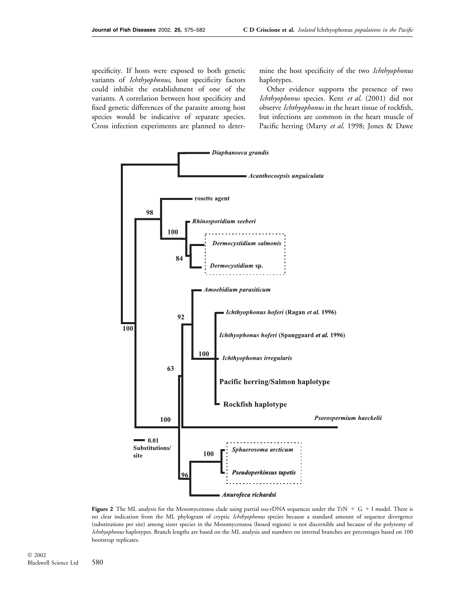specificity. If hosts were exposed to both genetic variants of Ichthyophonus, host specificity factors could inhibit the establishment of one of the variants. A correlation between host specificity and fixed genetic differences of the parasite among host species would be indicative of separate species. Cross infection experiments are planned to determine the host specificity of the two Ichthyophonus haplotypes.

Other evidence supports the presence of two Ichthyophonus species. Kent et al. (2001) did not observe Ichthyophonus in the heart tissue of rockfish, but infections are common in the heart muscle of Pacific herring (Marty et al. 1998; Jones & Dawe



Figure 2 The ML analysis for the Mesomycetozoa clade using partial ssu-rDNA sequences under the TrN  $+$  G + I model. There is no clear indication from the ML phylogram of cryptic Ichthyophonus species because a standard amount of sequence divergence (substitutions per site) among sister species in the Mesomycetozoa (boxed regions) is not discernible and because of the polytomy of Ichthyophonus haplotypes. Branch lengths are based on the ML analysis and numbers on internal branches are percentages based on 100 bootstrap replicates.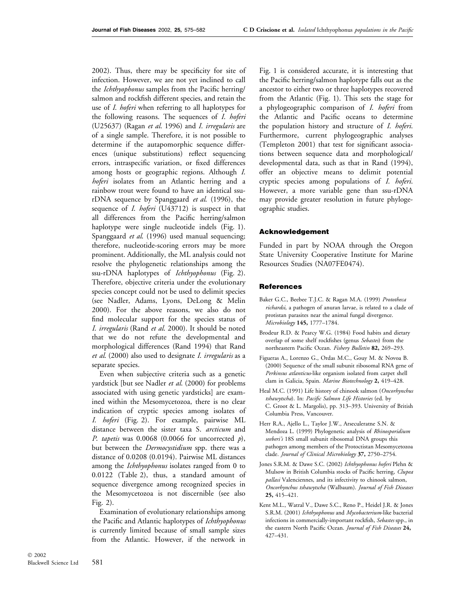2002). Thus, there may be specificity for site of infection. However, we are not yet inclined to call the Ichthyophonus samples from the Pacific herring/ salmon and rockfish different species, and retain the use of I. hoferi when referring to all haplotypes for the following reasons. The sequences of I. hoferi (U25637) (Ragan et al. 1996) and I. irregularis are of a single sample. Therefore, it is not possible to determine if the autapomorphic sequence differences (unique substitutions) reflect sequencing errors, intraspecific variation, or fixed differences among hosts or geographic regions. Although I. hoferi isolates from an Atlantic herring and a rainbow trout were found to have an identical ssurDNA sequence by Spanggaard et al. (1996), the sequence of *I. hoferi* (U43712) is suspect in that all differences from the Pacific herring/salmon haplotype were single nucleotide indels (Fig. 1). Spanggaard et al. (1996) used manual sequencing; therefore, nucleotide-scoring errors may be more prominent. Additionally, the ML analysis could not resolve the phylogenetic relationships among the ssu-rDNA haplotypes of Ichthyophonus (Fig. 2). Therefore, objective criteria under the evolutionary species concept could not be used to delimit species (see Nadler, Adams, Lyons, DeLong & Melin 2000). For the above reasons, we also do not find molecular support for the species status of I. irregularis (Rand et al. 2000). It should be noted that we do not refute the developmental and morphological differences (Rand 1994) that Rand et al. (2000) also used to designate I. irregularis as a separate species.

Even when subjective criteria such as a genetic yardstick [but see Nadler et al. (2000) for problems associated with using genetic yardsticks] are examined within the Mesomycetozoa, there is no clear indication of cryptic species among isolates of I. hoferi (Fig. 2). For example, pairwise ML distance between the sister taxa S. arcticum and P. tapetis was  $0.0068$  (0.0066 for uncorrected p), but between the *Dermocystidium* spp. there was a distance of 0.0208 (0.0194). Pairwise ML distances among the *Ichthyophonus* isolates ranged from 0 to 0.0122 (Table 2), thus, a standard amount of sequence divergence among recognized species in the Mesomycetozoa is not discernible (see also Fig. 2).

Examination of evolutionary relationships among the Pacific and Atlantic haplotypes of Ichthyophonus is currently limited because of small sample sizes from the Atlantic. However, if the network in

Fig. 1 is considered accurate, it is interesting that the Pacific herring/salmon haplotype falls out as the ancestor to either two or three haplotypes recovered from the Atlantic (Fig. 1). This sets the stage for a phylogeographic comparison of I. hoferi from the Atlantic and Pacific oceans to determine the population history and structure of I. hoferi. Furthermore, current phylogeographic analyses (Templeton 2001) that test for significant associations between sequence data and morphological/ developmental data, such as that in Rand (1994), offer an objective means to delimit potential cryptic species among populations of I. hoferi. However, a more variable gene than ssu-rDNA may provide greater resolution in future phylogeographic studies.

#### Acknowledgement

Funded in part by NOAA through the Oregon State University Cooperative Institute for Marine Resources Studies (NA07FE0474).

## **References**

- Baker G.C., Beebee T.J.C. & Ragan M.A. (1999) Prototheca richardsi, a pathogen of anuran larvae, is related to a clade of protistan parasites near the animal fungal divergence. Microbiology 145, 1777–1784.
- Brodeur R.D. & Pearcy W.G. (1984) Food habits and dietary overlap of some shelf rockfishes (genus Sebastes) from the northeastern Pacific Ocean. Fishery Bulletin 82, 269–293.
- Figueras A., Lorenzo G., Ordas M.C., Gouy M. & Novoa B. (2000) Sequence of the small subunit ribosomal RNA gene of Perkinsus atlanticus-like organism isolated from carpet shell clam in Galicia, Spain. Marine Biotechnology 2, 419–428.
- Heal M.C. (1991) Life history of chinook salmon (Oncorhynchus tshawytscha). In: Pacific Salmon Life Histories (ed. by C. Groot & L. Margolis), pp. 313–393. University of British Columbia Press, Vancouver.
- Herr R.A., Ajello L., Taylor J.W., Arseculeratne S.N. & Mendoza L. (1999) Phylogenetic analysis of Rhinosporidium seeberi's 18S small subunit ribosomal DNA groups this pathogen among members of the Protoctistan Mesomycetozoa clade. Journal of Clinical Microbiology 37, 2750–2754.
- Jones S.R.M. & Dawe S.C. (2002) Ichthyophonus hoferi Plehn & Mulsow in British Columbia stocks of Pacific herring, Clupea pallasi Valenciennes, and its infectivity to chinook salmon, Oncorhynchus tshawytscha (Walbaum). Journal of Fish Diseases 25, 415–421.
- Kent M.L., Watral V., Dawe S.C., Reno P., Heidel J.R. & Jones S.R.M. (2001) Ichthyophonus and Mycobacterium-like bacterial infections in commercially-important rockfish, Sebastes spp., in the eastern North Pacific Ocean. Journal of Fish Diseases 24, 427–431.